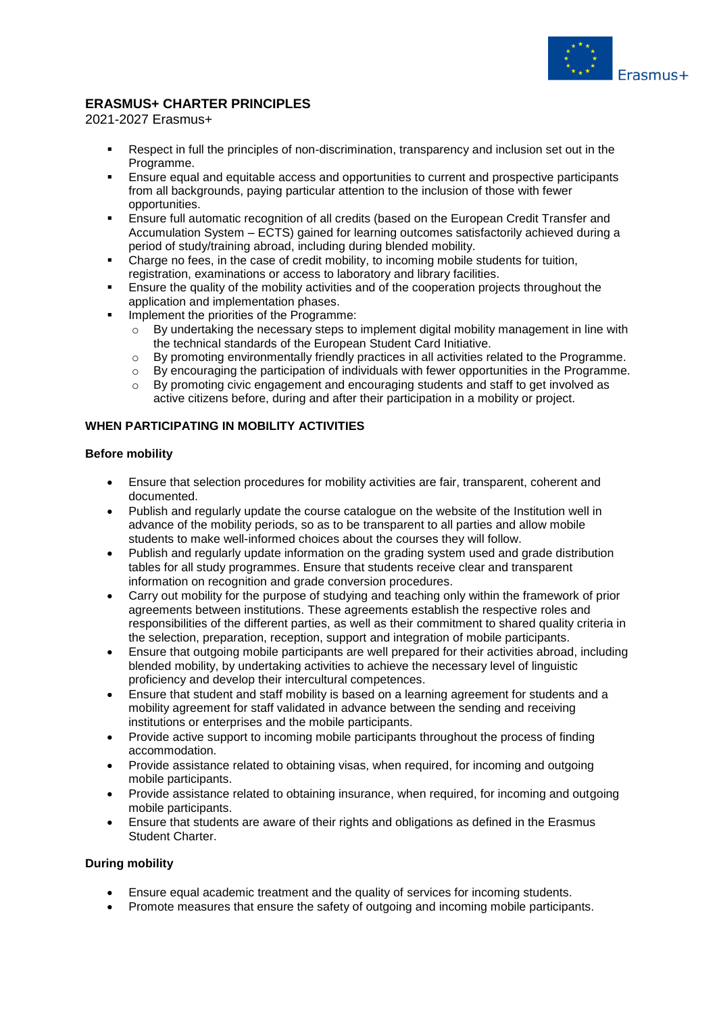

# **ERASMUS+ CHARTER PRINCIPLES**

#### 2021-2027 Erasmus+

- Respect in full the principles of non-discrimination, transparency and inclusion set out in the Programme.
- **Ensure equal and equitable access and opportunities to current and prospective participants** from all backgrounds, paying particular attention to the inclusion of those with fewer opportunities.
- Ensure full automatic recognition of all credits (based on the European Credit Transfer and Accumulation System – ECTS) gained for learning outcomes satisfactorily achieved during a period of study/training abroad, including during blended mobility.
- Charge no fees, in the case of credit mobility, to incoming mobile students for tuition, registration, examinations or access to laboratory and library facilities.
- Ensure the quality of the mobility activities and of the cooperation projects throughout the application and implementation phases.
- Implement the priorities of the Programme:
	- o By undertaking the necessary steps to implement digital mobility management in line with the technical standards of the European Student Card Initiative.
	- $\circ$  By promoting environmentally friendly practices in all activities related to the Programme.
	- o By encouraging the participation of individuals with fewer opportunities in the Programme.
	- $\circ$  By promoting civic engagement and encouraging students and staff to get involved as active citizens before, during and after their participation in a mobility or project.

# **WHEN PARTICIPATING IN MOBILITY ACTIVITIES**

# **Before mobility**

- Ensure that selection procedures for mobility activities are fair, transparent, coherent and documented.
- Publish and regularly update the course catalogue on the website of the Institution well in advance of the mobility periods, so as to be transparent to all parties and allow mobile students to make well-informed choices about the courses they will follow.
- Publish and regularly update information on the grading system used and grade distribution tables for all study programmes. Ensure that students receive clear and transparent information on recognition and grade conversion procedures.
- Carry out mobility for the purpose of studying and teaching only within the framework of prior agreements between institutions. These agreements establish the respective roles and responsibilities of the different parties, as well as their commitment to shared quality criteria in the selection, preparation, reception, support and integration of mobile participants.
- Ensure that outgoing mobile participants are well prepared for their activities abroad, including blended mobility, by undertaking activities to achieve the necessary level of linguistic proficiency and develop their intercultural competences.
- Ensure that student and staff mobility is based on a learning agreement for students and a mobility agreement for staff validated in advance between the sending and receiving institutions or enterprises and the mobile participants.
- Provide active support to incoming mobile participants throughout the process of finding accommodation.
- Provide assistance related to obtaining visas, when required, for incoming and outgoing mobile participants.
- Provide assistance related to obtaining insurance, when required, for incoming and outgoing mobile participants.
- Ensure that students are aware of their rights and obligations as defined in the Erasmus Student Charter.

#### **During mobility**

- Ensure equal academic treatment and the quality of services for incoming students.
- Promote measures that ensure the safety of outgoing and incoming mobile participants.